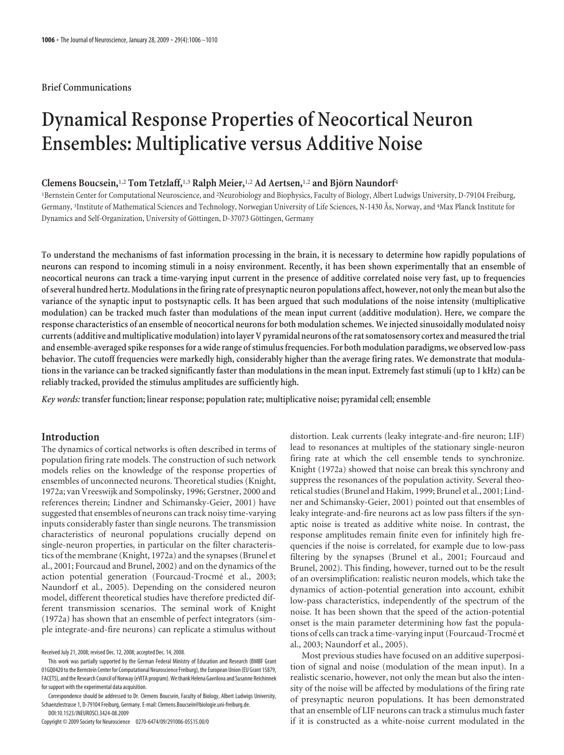## **Brief Communications**

# **Dynamical Response Properties of Neocortical Neuron Ensembles: Multiplicative versus Additive Noise**

# **Clemens Boucsein,**<sup>1,2</sup> **Tom Tetzlaff,**<sup>1,3</sup> **Ralph Meier,**<sup>1,2</sup> **Ad Aertsen,**<sup>1,2</sup> **and Björn Naundorf**<sup>4</sup>

<sup>1</sup>Bernstein Center for Computational Neuroscience, and <sup>2</sup>Neurobiology and Biophysics, Faculty of Biology, Albert Ludwigs University, D-79104 Freiburg, Germany, <sup>3</sup> Institute of Mathematical Sciences and Technology, Norwegian University of Life Sciences, N-1430 Ås, Norway, and <sup>4</sup> Max Planck Institute for Dynamics and Self-Organization, University of Göttingen, D-37073 Göttingen, Germany

**To understand the mechanisms of fast information processing in the brain, it is necessary to determine how rapidly populations of neurons can respond to incoming stimuli in a noisy environment. Recently, it has been shown experimentally that an ensemble of neocortical neurons can track a time-varying input current in the presence of additive correlated noise very fast, up to frequencies of several hundred hertz. Modulations inthe firing rate of presynaptic neuron populations affect, however, not onlythe mean but alsothe variance of the synaptic input to postsynaptic cells. It has been argued that such modulations of the noise intensity (multiplicative modulation) can be tracked much faster than modulations of the mean input current (additive modulation). Here, we compare the response characteristics of an ensemble of neocortical neurons for both modulation schemes. We injected sinusoidally modulated noisy currents (additive and multiplicative modulation) into layer V pyramidal neurons ofthe rat somatosensory cortex and measuredthetrial and ensemble-averaged spike responses for a wide range of stimulus frequencies. For both modulation paradigms, we observed low-pass behavior. The cutoff frequencies were markedly high, considerably higher than the average firing rates. We demonstrate that modulations in the variance can be tracked significantly faster than modulations in the mean input. Extremely fast stimuli (up to 1 kHz) can be reliably tracked, provided the stimulus amplitudes are sufficiently high.**

*Key words:* **transfer function; linear response; population rate; multiplicative noise; pyramidal cell; ensemble**

# **Introduction**

The dynamics of cortical networks is often described in terms of population firing rate models. The construction of such network models relies on the knowledge of the response properties of ensembles of unconnected neurons. Theoretical studies (Knight, 1972a; van Vreeswijk and Sompolinsky, 1996; Gerstner, 2000 and references therein; Lindner and Schimansky-Geier, 2001) have suggested that ensembles of neurons can track noisy time-varying inputs considerably faster than single neurons. The transmission characteristics of neuronal populations crucially depend on single-neuron properties, in particular on the filter characteristics of the membrane (Knight, 1972a) and the synapses (Brunel et al., 2001; Fourcaud and Brunel, 2002) and on the dynamics of the action potential generation (Fourcaud-Trocmé et al., 2003; Naundorf et al., 2005). Depending on the considered neuron model, different theoretical studies have therefore predicted different transmission scenarios. The seminal work of Knight (1972a) has shown that an ensemble of perfect integrators (simple integrate-and-fire neurons) can replicate a stimulus without

distortion. Leak currents (leaky integrate-and-fire neuron; LIF) lead to resonances at multiples of the stationary single-neuron firing rate at which the cell ensemble tends to synchronize. Knight (1972a) showed that noise can break this synchrony and suppress the resonances of the population activity. Several theoretical studies (Brunel and Hakim, 1999; Brunel et al., 2001; Lindner and Schimansky-Geier, 2001) pointed out that ensembles of leaky integrate-and-fire neurons act as low pass filters if the synaptic noise is treated as additive white noise. In contrast, the response amplitudes remain finite even for infinitely high frequencies if the noise is correlated, for example due to low-pass filtering by the synapses (Brunel et al., 2001; Fourcaud and Brunel, 2002). This finding, however, turned out to be the result of an oversimplification: realistic neuron models, which take the dynamics of action-potential generation into account, exhibit low-pass characteristics, independently of the spectrum of the noise. It has been shown that the speed of the action-potential onset is the main parameter determining how fast the populations of cells can track a time-varying input (Fourcaud-Trocmé et al., 2003; Naundorf et al., 2005).

Most previous studies have focused on an additive superposition of signal and noise (modulation of the mean input). In a realistic scenario, however, not only the mean but also the intensity of the noise will be affected by modulations of the firing rate of presynaptic neuron populations. It has been demonstrated that an ensemble of LIF neurons can track a stimulus much faster if it is constructed as a white-noise current modulated in the

Received July 21, 2008; revised Dec. 12, 2008; accepted Dec. 14, 2008.

This work was partially supported by the German Federal Ministry of Education and Research (BMBF Grant 01GQ0420 to the Bernstein Center for Computational Neuroscience Freiburg), the European Union (EU Grant 15879, FACETS), and the Research Council of Norway (eVITA program).We thank Helena Gavrilova and Susanne Reichinnek for support with the experimental data acquisition.

Correspondence should be addressed to Dr. Clemens Boucsein, Faculty of Biology, Albert Ludwigs University, Schaenzlestrasse 1, D-79104 Freiburg, Germany. E-mail: Clemens.Boucsein@biologie.uni-freiburg.de. DOI:10.1523/JNEUROSCI.3424-08.2009

Copyright © 2009 Society for Neuroscience 0270-6474/09/291006-05\$15.00/0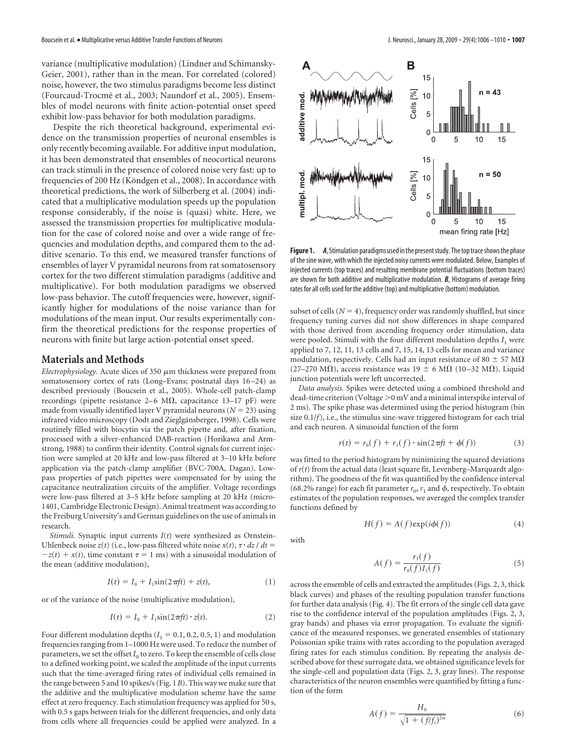variance (multiplicative modulation) (Lindner and Schimansky-Geier, 2001), rather than in the mean. For correlated (colored) noise, however, the two stimulus paradigms become less distinct (Fourcaud-Trocmé et al., 2003; Naundorf et al., 2005). Ensembles of model neurons with finite action-potential onset speed exhibit low-pass behavior for both modulation paradigms.

Despite the rich theoretical background, experimental evidence on the transmission properties of neuronal ensembles is only recently becoming available. For additive input modulation, it has been demonstrated that ensembles of neocortical neurons can track stimuli in the presence of colored noise very fast: up to frequencies of 200 Hz (Köndgen et al., 2008). In accordance with theoretical predictions, the work of Silberberg et al. (2004) indicated that a multiplicative modulation speeds up the population response considerably, if the noise is (quasi) white. Here, we assessed the transmission properties for multiplicative modulation for the case of colored noise and over a wide range of frequencies and modulation depths, and compared them to the additive scenario. To this end, we measured transfer functions of ensembles of layer V pyramidal neurons from rat somatosensory cortex for the two different stimulation paradigms (additive and multiplicative). For both modulation paradigms we observed low-pass behavior. The cutoff frequencies were, however, significantly higher for modulations of the noise variance than for modulations of the mean input. Our results experimentally confirm the theoretical predictions for the response properties of neurons with finite but large action-potential onset speed.

#### **Materials and Methods**

*Electrophysiology*. Acute slices of 350  $\mu$ m thickness were prepared from somatosensory cortex of rats (Long–Evans; postnatal days 16 –24) as described previously (Boucsein et al., 2005). Whole-cell patch-clamp recordings (pipette resistance 2–6 M $\Omega$ , capacitance 13–17 pF) were made from visually identified layer V pyramidal neurons  $(N = 23)$  using infrared video microscopy (Dodt and Zieglgänsberger, 1998). Cells were routinely filled with biocytin via the patch pipette and, after fixation, processed with a silver-enhanced DAB-reaction (Horikawa and Armstrong, 1988) to confirm their identity. Control signals for current injection were sampled at 20 kHz and low-pass filtered at 3–10 kHz before application via the patch-clamp amplifier (BVC-700A, Dagan). Lowpass properties of patch pipettes were compensated for by using the capacitance neutralization circuits of the amplifier. Voltage recordings were low-pass filtered at 3–5 kHz before sampling at 20 kHz (micro-1401, Cambridge Electronic Design). Animal treatment was according to the Freiburg University's and German guidelines on the use of animals in research.

*Stimuli.* Synaptic input currents *I*(*t*) were synthesized as Ornstein-Uhlenbeck noise  $z(t)$  (i.e., low-pass filtered white noise  $x(t)$ ,  $\tau \cdot dz / dt =$  $-z(t) + x(t)$ , time constant  $\tau = 1$  ms) with a sinusoidal modulation of the mean (additive modulation),

$$
I(t) = I_0 + I_1 \sin(2\pi ft) + z(t),
$$
 (1)

or of the variance of the noise (multiplicative modulation),

$$
I(t) = I_0 + I_1 \sin(2\pi ft) \cdot z(t). \tag{2}
$$

Four different modulation depths  $(I_1 = 0.1, 0.2, 0.5, 1)$  and modulation frequencies ranging from 1–1000 Hz were used. To reduce the number of parameters, we set the offset  $I_0$  to zero. To keep the ensemble of cells close to a defined working point, we scaled the amplitude of the input currents such that the time-averaged firing rates of individual cells remained in the range between 5 and 10 spikes/s (Fig. 1*B*). This way we make sure that the additive and the multiplicative modulation scheme have the same effect at zero frequency. Each stimulation frequency was applied for 50 s, with 0.5 s gaps between trials for the different frequencies, and only data from cells where all frequencies could be applied were analyzed. In a



Figure 1. A, Stimulation paradigms used in the present study. The top trace shows the phase of the sine wave, with which the injected noisy currents were modulated. Below, Examples of injected currents (top traces) and resulting membrane potential fluctuations (bottom traces) are shown for both additive and multiplicative modulation. *B*, Histograms of average firing rates for all cells used for the additive (top) and multiplicative (bottom) modulation.

subset of cells  $(N = 4)$ , frequency order was randomly shuffled, but since frequency tuning curves did not show differences in shape compared with those derived from ascending frequency order stimulation, data were pooled. Stimuli with the four different modulation depths  $I_1$  were applied to 7, 12, 11, 13 cells and 7, 15, 14, 13 cells for mean and variance modulation, respectively. Cells had an input resistance of 80  $\pm$  57 M $\Omega$ (27–270 M $\Omega$ ), access resistance was 19  $\pm$  6 M $\Omega$  (10–32 M $\Omega$ ). Liquid junction potentials were left uncorrected.

*Data analysis.* Spikes were detected using a combined threshold and dead-time criterion (Voltage  $>$  0 mV and a minimal interspike interval of 2 ms). The spike phase was determined using the period histogram (bin size 0.1/*f*), i.e., the stimulus sine-wave triggered histogram for each trial and each neuron. A sinusoidal function of the form

$$
r(t) = r_0(f) + r_1(f) \cdot \sin(2\pi ft + \phi(f))
$$
 (3)

was fitted to the period histogram by minimizing the squared deviations of *r*(*t*) from the actual data (least square fit, Levenberg–Marquardt algorithm). The goodness of the fit was quantified by the confidence interval (68.2% range) for each fit parameter  $r_0$ ,  $r_1$  and  $\phi$ , respectively. To obtain estimates of the population responses, we averaged the complex transfer functions defined by

$$
H(f) = A(f) \exp(i\phi(f))
$$
 (4)

with

$$
A(f) = \frac{r_1(f)}{r_0(f)I_1(f)}\tag{5}
$$

across the ensemble of cells and extracted the amplitudes (Figs. 2, 3, thick black curves) and phases of the resulting population transfer functions for further data analysis (Fig. 4). The fit errors of the single cell data gave rise to the confidence interval of the population amplitudes (Figs. 2, 3, gray bands) and phases via error propagation. To evaluate the significance of the measured responses, we generated ensembles of stationary Poissonian spike trains with rates according to the population averaged firing rates for each stimulus condition. By repeating the analysis described above for these surrogate data, we obtained significance levels for the single-cell and population data (Figs. 2, 3, gray lines). The response characteristics of the neuron ensembles were quantified by fitting a function of the form

$$
A(f) = \frac{H_0}{\sqrt{1 + (f/f_c)^{2\alpha}}}
$$
(6)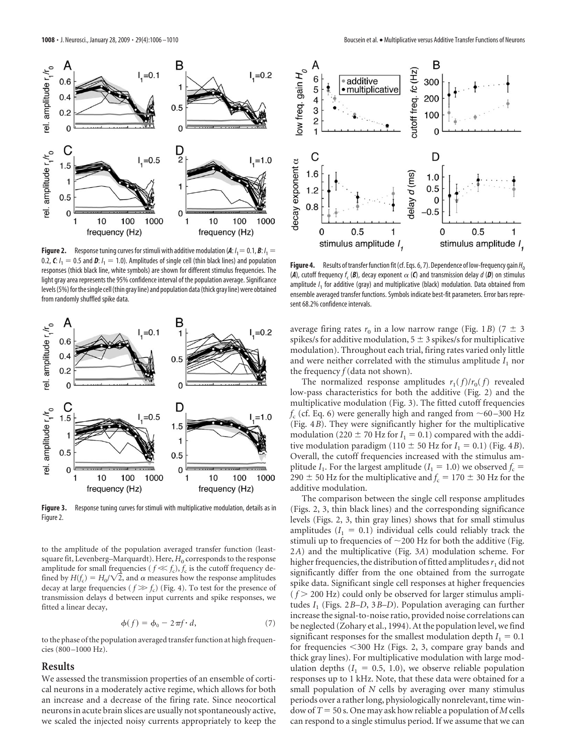

**Figure 2.** Response tuning curves for stimuli with additive modulation (A:  $I_1 = 0.1$ , B:  $I_1 =$ 0.2, **C**:  $I_1 = 0.5$  and **D**:  $I_1 = 1.0$ ). Amplitudes of single cell (thin black lines) and population responses (thick black line, white symbols) are shown for different stimulus frequencies. The light gray area represents the 95% confidence interval of the population average. Significance levels (5%) for the single cell (thin gray line) and population data (thick gray line) were obtained from randomly shuffled spike data.



Figure 3. Response tuning curves for stimuli with multiplicative modulation, details as in Figure 2.

to the amplitude of the population averaged transfer function (leastsquare fit, Levenberg–Marquardt). Here, *H*<sub>0</sub> corresponds to the response amplitude for small frequencies ( $f \ll f_c$ ),  $f_c$  is the cutoff frequency defined by  $H(f_c) = H_0 / \sqrt{2}$ , and  $\alpha$  measures how the response amplitudes decay at large frequencies ( $f \gg f_c$ ) (Fig. 4). To test for the presence of transmission delays d between input currents and spike responses, we fitted a linear decay,

$$
\phi(f) = \phi_0 - 2\pi f \cdot d,\tag{7}
$$

to the phase of the population averaged transfer function at high frequencies (800 –1000 Hz).

## **Results**

We assessed the transmission properties of an ensemble of cortical neurons in a moderately active regime, which allows for both an increase and a decrease of the firing rate. Since neocortical neurons in acute brain slices are usually not spontaneously active, we scaled the injected noisy currents appropriately to keep the



**Figure 4.** Results of transfer function fit (cf. Eqs. 6, 7). Dependence of low-frequency gain  $H_0$ (A), cutoff frequency  $f_{\text{c}}$  (B), decay exponent  $\alpha$  (C) and transmission delay  $d$  (D) on stimulus amplitude  $I_1$  for additive (gray) and multiplicative (black) modulation. Data obtained from ensemble averaged transfer functions. Symbols indicate best-fit parameters. Error bars represent 68.2% confidence intervals.

average firing rates  $r_0$  in a low narrow range (Fig. 1*B*) (7  $\pm$  3 spikes/s for additive modulation,  $5 \pm 3$  spikes/s for multiplicative modulation). Throughout each trial, firing rates varied only little and were neither correlated with the stimulus amplitude  $I_1$  nor the frequency  $f$  (data not shown).

The normalized response amplitudes  $r_1(f)/r_0(f)$  revealed low-pass characteristics for both the additive (Fig. 2) and the multiplicative modulation (Fig. 3). The fitted cutoff frequencies  $f_c$  (cf. Eq. 6) were generally high and ranged from  $\sim$  60–300 Hz (Fig. 4*B*). They were significantly higher for the multiplicative modulation (220  $\pm$  70 Hz for  $I_1 = 0.1$ ) compared with the additive modulation paradigm (110  $\pm$  50 Hz for  $I_1 = 0.1$ ) (Fig. 4*B*). Overall, the cutoff frequencies increased with the stimulus amplitude  $I_1$ . For the largest amplitude ( $I_1 = 1.0$ ) we observed  $f_c =$ 290  $\pm$  50 Hz for the multiplicative and  $f_c$  = 170  $\pm$  30 Hz for the additive modulation.

The comparison between the single cell response amplitudes (Figs. 2, 3, thin black lines) and the corresponding significance levels (Figs. 2, 3, thin gray lines) shows that for small stimulus amplitudes  $(I_1 = 0.1)$  individual cells could reliably track the stimuli up to frequencies of  $\sim$  200 Hz for both the additive (Fig. 2*A*) and the multiplicative (Fig. 3*A*) modulation scheme. For higher frequencies, the distribution of fitted amplitudes  $r_1$  did not significantly differ from the one obtained from the surrogate spike data. Significant single cell responses at higher frequencies  $(f > 200$  Hz) could only be observed for larger stimulus amplitudes *I*<sup>1</sup> (Figs. 2*B*–*D*, 3*B*–*D*). Population averaging can further increase the signal-to-noise ratio, provided noise correlations can be neglected (Zohary et al., 1994). At the population level, we find significant responses for the smallest modulation depth  $I_1 = 0.1$ for frequencies  $<300$  Hz (Figs. 2, 3, compare gray bands and thick gray lines). For multiplicative modulation with large modulation depths  $(I_1 = 0.5, 1.0)$ , we observe reliable population responses up to 1 kHz. Note, that these data were obtained for a small population of *N* cells by averaging over many stimulus periods over a rather long, physiologically nonrelevant, time window of  $T = 50$  s. One may ask how reliable a population of *M* cells can respond to a single stimulus period. If we assume that we can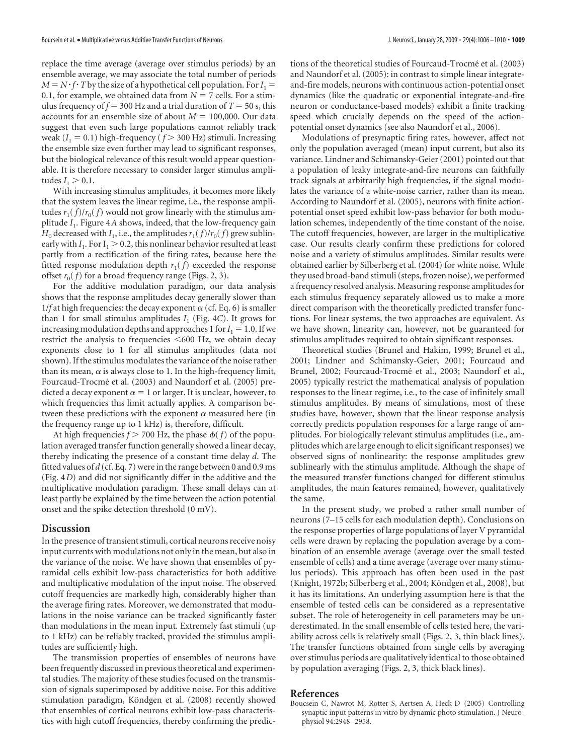replace the time average (average over stimulus periods) by an ensemble average, we may associate the total number of periods  $M = N \cdot f \cdot T$  by the size of a hypothetical cell population. For  $I_1 =$ 0.1, for example, we obtained data from  $N = 7$  cells. For a stimulus frequency of  $f = 300$  Hz and a trial duration of  $T = 50$  s, this accounts for an ensemble size of about  $M = 100,000$ . Our data suggest that even such large populations cannot reliably track weak  $(I_1 = 0.1)$  high-frequency ( $f > 300$  Hz) stimuli. Increasing the ensemble size even further may lead to significant responses, but the biological relevance of this result would appear questionable. It is therefore necessary to consider larger stimulus amplitudes  $I_1 > 0.1$ .

With increasing stimulus amplitudes, it becomes more likely that the system leaves the linear regime, i.e., the response amplitudes  $r_1(f)/r_0(f)$  would not grow linearly with the stimulus amplitude *I*<sub>1</sub>. Figure 4*A* shows, indeed, that the low-frequency gain *H*<sub>0</sub> decreased with *I*<sub>1</sub>, i.e., the amplitudes  $r_1(f)/r_0(f)$  grew sublinearly with  $I_1$ . For  $I_1 > 0.2$ , this nonlinear behavior resulted at least partly from a rectification of the firing rates, because here the fitted response modulation depth  $r_1(f)$  exceeded the response offset  $r_0(f)$  for a broad frequency range (Figs. 2, 3).

For the additive modulation paradigm, our data analysis shows that the response amplitudes decay generally slower than  $1/f$  at high frequencies: the decay exponent  $\alpha$  (cf. Eq. 6) is smaller than 1 for small stimulus amplitudes  $I_1$  (Fig. 4*C*). It grows for increasing modulation depths and approaches 1 for  $I_1 = 1.0$ . If we restrict the analysis to frequencies  $\leq 600$  Hz, we obtain decay exponents close to 1 for all stimulus amplitudes (data not shown). If the stimulus modulates the variance of the noise rather than its mean,  $\alpha$  is always close to 1. In the high-frequency limit, Fourcaud-Trocmé et al. (2003) and Naundorf et al. (2005) predicted a decay exponent  $\alpha = 1$  or larger. It is unclear, however, to which frequencies this limit actually applies. A comparison between these predictions with the exponent  $\alpha$  measured here (in the frequency range up to 1 kHz) is, therefore, difficult.

At high frequencies  $f > 700$  Hz, the phase  $\phi(f)$  of the population averaged transfer function generally showed a linear decay, thereby indicating the presence of a constant time delay *d*. The fitted values of *d* (cf. Eq. 7) were in the range between 0 and 0.9 ms (Fig. 4*D*) and did not significantly differ in the additive and the multiplicative modulation paradigm. These small delays can at least partly be explained by the time between the action potential onset and the spike detection threshold (0 mV).

### **Discussion**

In the presence of transient stimuli, cortical neurons receive noisy input currents with modulations not only in the mean, but also in the variance of the noise. We have shown that ensembles of pyramidal cells exhibit low-pass characteristics for both additive and multiplicative modulation of the input noise. The observed cutoff frequencies are markedly high, considerably higher than the average firing rates. Moreover, we demonstrated that modulations in the noise variance can be tracked significantly faster than modulations in the mean input. Extremely fast stimuli (up to 1 kHz) can be reliably tracked, provided the stimulus amplitudes are sufficiently high.

The transmission properties of ensembles of neurons have been frequently discussed in previous theoretical and experimental studies. The majority of these studies focused on the transmission of signals superimposed by additive noise. For this additive stimulation paradigm, Köndgen et al. (2008) recently showed that ensembles of cortical neurons exhibit low-pass characteristics with high cutoff frequencies, thereby confirming the predictions of the theoretical studies of Fourcaud-Trocmé et al. (2003) and Naundorf et al. (2005): in contrast to simple linear integrateand-fire models, neurons with continuous action-potential onset dynamics (like the quadratic or exponential integrate-and-fire neuron or conductance-based models) exhibit a finite tracking speed which crucially depends on the speed of the actionpotential onset dynamics (see also Naundorf et al., 2006).

Modulations of presynaptic firing rates, however, affect not only the population averaged (mean) input current, but also its variance. Lindner and Schimansky-Geier (2001) pointed out that a population of leaky integrate-and-fire neurons can faithfully track signals at arbitrarily high frequencies, if the signal modulates the variance of a white-noise carrier, rather than its mean. According to Naundorf et al. (2005), neurons with finite actionpotential onset speed exhibit low-pass behavior for both modulation schemes, independently of the time constant of the noise. The cutoff frequencies, however, are larger in the multiplicative case. Our results clearly confirm these predictions for colored noise and a variety of stimulus amplitudes. Similar results were obtained earlier by Silberberg et al. (2004) for white noise. While they used broad-band stimuli (steps, frozen noise), we performed a frequency resolved analysis. Measuring response amplitudes for each stimulus frequency separately allowed us to make a more direct comparison with the theoretically predicted transfer functions. For linear systems, the two approaches are equivalent. As we have shown, linearity can, however, not be guaranteed for stimulus amplitudes required to obtain significant responses.

Theoretical studies (Brunel and Hakim, 1999; Brunel et al., 2001; Lindner and Schimansky-Geier, 2001; Fourcaud and Brunel, 2002; Fourcaud-Trocmé et al., 2003; Naundorf et al., 2005) typically restrict the mathematical analysis of population responses to the linear regime, i.e., to the case of infinitely small stimulus amplitudes. By means of simulations, most of these studies have, however, shown that the linear response analysis correctly predicts population responses for a large range of amplitudes. For biologically relevant stimulus amplitudes (i.e., amplitudes which are large enough to elicit significant responses) we observed signs of nonlinearity: the response amplitudes grew sublinearly with the stimulus amplitude. Although the shape of the measured transfer functions changed for different stimulus amplitudes, the main features remained, however, qualitatively the same.

In the present study, we probed a rather small number of neurons (7–15 cells for each modulation depth). Conclusions on the response properties of large populations of layer V pyramidal cells were drawn by replacing the population average by a combination of an ensemble average (average over the small tested ensemble of cells) and a time average (average over many stimulus periods). This approach has often been used in the past (Knight, 1972b; Silberberg et al., 2004; Köndgen et al., 2008), but it has its limitations. An underlying assumption here is that the ensemble of tested cells can be considered as a representative subset. The role of heterogeneity in cell parameters may be underestimated. In the small ensemble of cells tested here, the variability across cells is relatively small (Figs. 2, 3, thin black lines). The transfer functions obtained from single cells by averaging over stimulus periods are qualitatively identical to those obtained by population averaging (Figs. 2, 3, thick black lines).

#### **References**

Boucsein C, Nawrot M, Rotter S, Aertsen A, Heck D (2005) Controlling synaptic input patterns in vitro by dynamic photo stimulation. J Neurophysiol 94:2948 –2958.